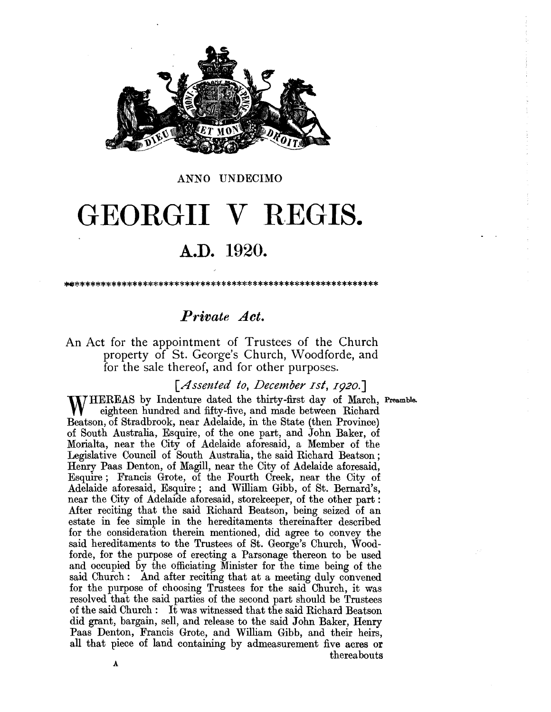

#### ANNO UNDECIMO

# GEORGII V REGIS.

## A.D. 1920.

.. \*\*\*\*\*\*\*\*\*\*\*\*\*\*\*\*\*\*\*\*\*\*\*\*\*\*\*\*\*\*\*\*\*\*\*\*\*\*\*\*\*\*\*\*\*\*\*\*\*\*\*\*\*\*\*\*\*\*

### *Private Act.*

An Act for the appointment of Trustees of the Church property of St. George's Church, Woodforde, and for the sale thereof, and for other purposes.

[*Assented to, December 1st, 1920.*]

WHEREAS by Indenture dated the thirty-first day of March, Preamble. eighteen hundred and fifty-five, and made between Richard Beatson, of Stradbrook, near Adelaide, in the State (then Province) of South Australia, Esquire, of the one part, and John Baker, of Morialta, near the City of Adelaide aforesaid, a Member of the Legislative Council of South Australia, the said Richard Beatson; Henry Paas Denton, of Magill, near the City of Adelaide aforesaid, Esquire; Francis Grote, of the Fourth Creek, near the City of Adelaide aforesaid, Esquire; and William Gibb, of St. Bernard's, near the City of Adelaide aforesaid, storekeeper, of the other part : After reciting that the said Richard Beatson, being seized of an estate in fee simple in the hereditaments thereinafter described for the consideration therein mentioned, did agree to convey the said hereditaments to the Trustees of St. George's Church, Woodforde, for the purpose of erecting a Parsonage thereon to be used and occupied by the officiating Minister for the time being of the said Church: And after reciting that at a meeting duly convened for the purpose of choosing Trustees for the said Church, it was resolved that the said parties of the second part should be Trustees of the said Church: It was witnessed that the said Richard Beatson did grant, bargain, sell, and release to the said John Baker, Henry Paas Denton, Francis Grote, and William Gibb, and their heirs, all that piece of land containing by admeasurement five acres or thereabouts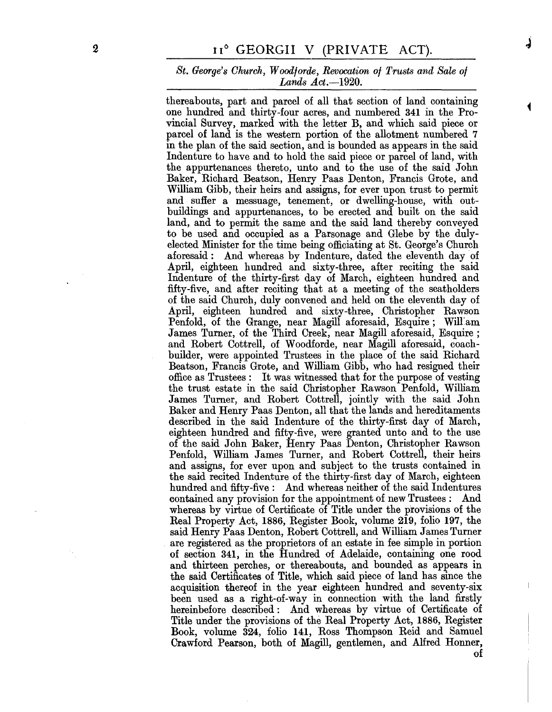#### *St. George's Church, Woodforde, Revocation of Trusts and Sale of Lands Act.-1920.*

thereabouts, part and parcel of all that section of land containing one hundred and thirty-four acres, and numbered 341 in the Provincial Survey, marked with the letter B, and which said piece or parcel of land is the western portion of the allotment numbered 7 in the plan of the said section, and is bounded as appears in the said Indenture to have and to hold the said piece or parcel of land, with the appurtenances thereto, unto and to the use of the said John Baker, Richard Beatson, Henry Paas Denton, Francis Grote, and William Gibb, their heirs and assigns, for ever upon trust to permit and suffer a messuage, tenement, or dwelling-house, with outbuildings and appurtenances, to be erected and built on the said land, and to permit the same and the said land thereby conveyed to be used and occupied as a Parsonage and Glebe by the dulyelected Minister for the time being officiating at St. George's Church aforesaid: And whereas by Indenture, dated the eleventh day of April, eighteen hundred and sixty-three, after reciting the said Indenture of the thirty-first day of March, eighteen hundred and filty-five, and after reciting that at a meeting of the seatholders of the said Church, duly convened and held on the eleventh day of April, eighteen hundred and sixty-three, Christopher Rawson Penfold, of the Grange, near Magill aforesaid, Esquire; Will:am James Turner, of the Third Creek, near Magill aforesaid, Esquire; and Robert Cottrell, of Woodforde, near Magill aforesaid, coachbuilder, were appointed Trustees in the place of the said Richard Beatson, Francis Grote, and William Gibb, who had resigned their office as Trustees: It was witnessed that for the purpose of vesting the trust estate in the said Christopher Rawson Penfold, William James Turner, and Robert Cottrell, jointly with the said John Baker and Henry Paas Denton, all that the lands and hereditaments described in the said Indenture of the thirty-first day of March, eighteen hundred and fifty-five, Were granted unto and to the use of the said John Baker, Henry Paas Denton, Christopher Rawson Penfold, William James Turner, and Robert Cottrell, their heirs and assigns, for ever upon and subject to the trusts contained in the said recited Indenture of the thirty-first day of March, eighteen hundred and fifty-five: And whereas neither of the said Indentures contained any provision for the appointment of new Trustees: And whereas by virtue of Certificate of Title under the provisions of the Real Property Act, 1886, Register Book, volume 219, folio 197, the said Henry Paas Denton, Robert Cottrell, and William James Turner are registered as the proprietors of an estate in fee simple in portion of section 341, in the Hundred of Adelaide, containing one rood and thirteen perches, or thereabouts, and bounded as appears in the said Certificates of Title, which said piece of land has since the acquisition thereof in the year eighteen hundred and seventy-six been used as a right-of-way in connection with the land firstly hereinbefore described: And whereas by virtue of Certificate of Title under the provisions of the Real Property Act, 1886, Register Book, volume 324, folio 141, Ross Thompson Reid and Samuel Crawford Pearson, both of Magill, gentlemen, and Alfred Honner, of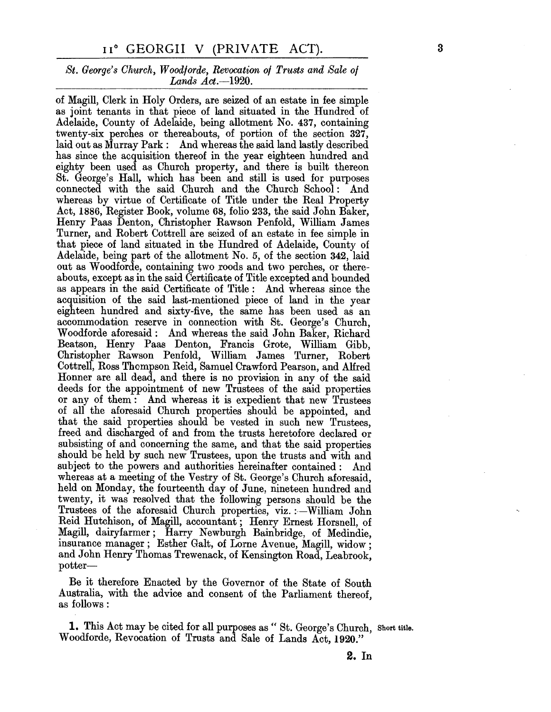#### 11° GEORGII V (PRIVATE ACT).

#### *St. George's Church, Woodlorde, Revocation 01 Trusts and Sale 01 Lands Act.-1920.*

of Magill, Clerk in Holy Orders, are seized of an estate in fee simple as joint tenants in that piece of land situated in the Hundred of Adelaide, County of Adelaide, being allotment No. 437, containing twenty-six perches or thereabouts, of portion of the section 327, laid out as Murray Park: And whereas the said land lastly described has since the acquisition thereof in the year eighteen hundred and eighty been used as Church property, and there is built thereon St. George's Hall, which has been and still is used for purposes connected with the said Church and the Church School: And whereas by virtue of Certificate of Title under the Real Property Act, 1886, Register Book, volume 68, folio 233, the said John Baker, Henry Paas Denton, Christopher Rawson Penfold, William James Turner, and Robert Cottrell are seized of an estate in fee simple in that piece of land situated in the Hundred of Adelaide, County of Adelaide, being part of the allotment No.5, of the section 342, laid out as Woodforde, containing two roods and two perches, or thereabouts, except as in the said Certificate of Title excepted and bounded as appears in the said Certificate of Title: And whereas since the acquisition of the said last-mentioned piece of land in the year eighteen hundred and sixty-five, the same has been used as an accommodation reserve in connection with St. George's Church, Woodforde aforesaid: And whereas the said John Baker, Richard Beatson, Henry Paas Denton, Francis Grote, William Gibb, Christopher Rawson Penfold, William James Turner, Robert Cottrell, Ross Thompson Reid, Samuel Crawford Pearson, and Alfred Honner are all dead, and there is no provision in any of the said deeds for the appointment of new Trustees of the said properties or any of them: And whereas it is expedient that new Trustees of all the aforesaid Church properties should be appointed, and that the said properties should be vested in such new Trustees, freed and discharged of and from the trusts heretofore declared or subsisting of and concerning the same, and that the said properties should be held by such new Trustees, upon the trusts and with and subject to the powers and authorities hereinafter contained: And whereas at a meeting of the Vestry of St. George's Church aforesaid, held on Monday, the fourteenth day of June, nineteen hundred and twenty, it was resolved that the following persons should be the Trustees of the aforesaid Church properties, viz. : $-William$  John Reid Hutchison, of Magill, accountant; Henry Ernest Horsnell, of Magill, dairyfarmer; Harry Newburgh Bainbridge, of Medindie, insurance manager; Esther Galt, of Lorne Avenue, Magill, widow; and John Henry Thomas Trewenack, of Kensington Road, Leabrook, potter-

Be it therefore Enacted by the Governor of the State of South Australia, with the advice and consent of the Parliament thereof, as follows:

1. This Act may be cited for all purposes as " St. George's Church, Short title. Woodforde, Revocation of Trusts and Sale of Lands Act, 1920."

**2. In**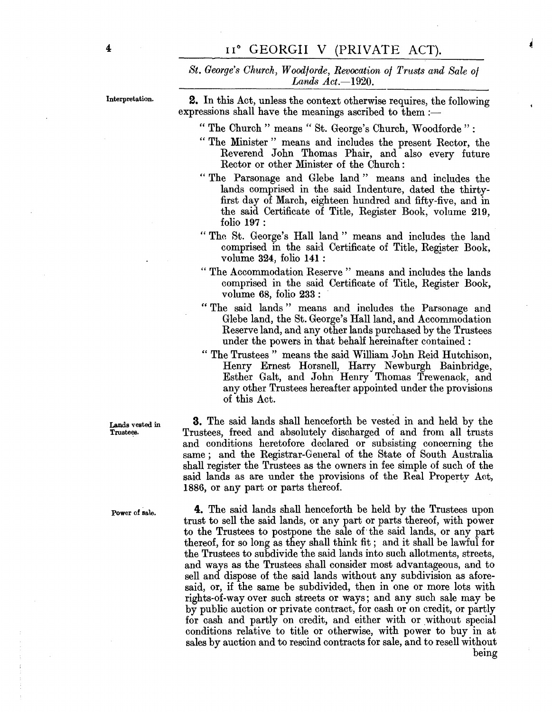*St. George's Church, Woodforde, Revocation of Trusts and Sale of Lands Act.-1920.* 

Interpretation.

**2.** In this Act, unless the context otherwise requires, the following expressions shall have the meanings ascribed to them :-

" The Church " means " St. George's Church, Woodforde ":

- " The Minister" means and includes the present Rector, the Reverend John Thomas Phair, and also every future Rector or other Minister of the Ohurch:
- "The Parsonage and Glebe land" means and includes the lands comprised in the said Indenture, dated the thirtyfirst day of March, eighteen hundred and fifty-five, and in the said Oertificate of Title, Register Book, volume 219, folio 197 :
- "The St. George's Hall land" means and includes the land comprised in the said. Oertificate of Title, Register Book, volume  $324$ , folio  $141$ :
- " The Accommodation Reserve" means and includes the lands comprised in the said Oertificate of Title, Register Book, volume  $68$ , folio  $233$ :
- "The said lands" means and includes the Parsonage and Glebe land, the St. George's Hall land, and Accommodation Reserve land, and any other lands purchased by the Trustees under the powers in that behalf hereinafter contained:
- " The Trustees" means the said William John Reid Hutchison, Henry Ernest Horsnell, Harry Newburgh Bainbridge, Esther Galt, and John Henry Thomas Trewenack, and any other Trustees hereafter appointed under the provisions of this Act.

**3.** The said lands shall henceforth be vested in and held by the Trustees, freed and absolutely discharged of and from all trusts and conditions heretofore declared or subsisting concerning the same; and the Registrar-General of the State of South Australia shall register the Trustees as the owners in fee simple of such of the said lands as are under the provisions of the Real Property Act, 1886, or any part or parts thereof.

**4.** The said lands shall henceforth be held by the Trustees upon trust to sell the said lands, or any part or parts thereof, with power to the Trustees to postpone the sale of' the said lands, or any part thereof, for so long as they shall think fit; and it shall be lawful for the Trustees to subdivide the said lands into such allotments, streets, and ways as the Trustees shall consider most advantageous, and to sell and dispose of the said lands without any subdivision as aforesaid, or, if the same be subdivided, then in one or more lots with rights-of-way over such streets or ways; and any such sale may be by public auction or private contract, for cash or on credit, or partly for cash and partly on credit, and either with or without special conditions relative to title or otherwise, with power to buy in at sales by auction and to rescind contracts for sale, and to resell without being

Lands vested in Trustees.

Power of sale.

4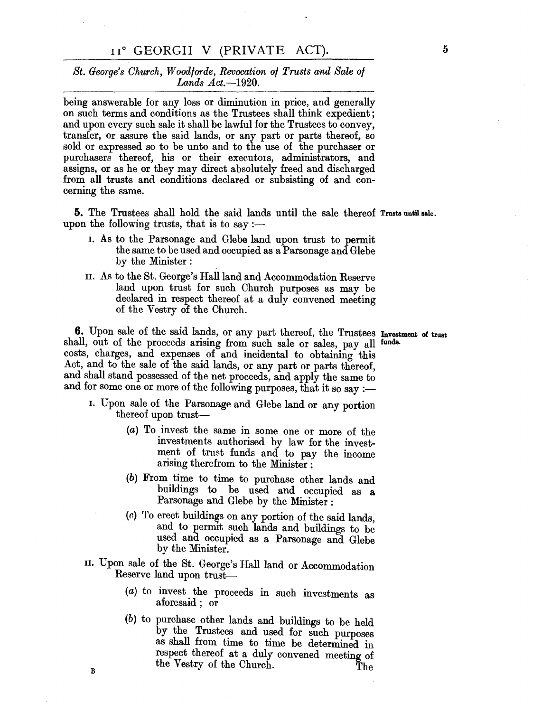#### II<sup>°</sup> GEORGII V (PRIVATE ACT).

#### *St. George's Ohurch, Woodjorde, Revocation 0/ Trusts and Sale 0/ Lands Act.-1920.*

being answerable for any loss or diminution in price, and generally on such terms and conditions as the Trustees shall think expedient; and upon every such sale it shall be lawful for the Trustees to convey, transfer, or assure the said lands, or any part or parts thereof, so sold or expressed so to be unto and to the use of the purchaser or purchasers thereof, his or their executors, administrators, and assigns, or as he or they may direct absolutely freed and discharged from all trusts and conditions declared or subsisting of and concerning the same.

**5.** The Trustees shall hold the said lands until the sale thereof Trusts until sale. upon the following trusts, that is to say :—

- 1. As to the Parsonage and GJebe land upon trust to permit the same to be used and occupied as a Parsonage and Glebe by the Minister:
- II. As to the St. George's RaHland and Accommodation Reserve land upon trust for such Church purposes as may be declared in respect thereof at a duly convened meeting of the Vestry of the Church.

**6.** Upon sale of the said lands, or any part thereof, the Trustees Investment of trust shall, out of the proceeds arising from such sale or sales, pay all funds. costs, charges, and expenses of and incidental to obtaining this Act, and to the sale of the said lands, or any part or parts thereof, and shall stand possessed of the net proceeds, and apply the same to and for some one or more of the following purposes, that it so say :-

- 1. Upon sale of the Parsonage and Glebe land or any portion thereof upon trust-
	- (a) To invest the same in some one or more of the investments authorised by law for the investment of trust funds and to pay the income arising therefrom to the Minister :
	- (b) From time to time to purchase other lands and buildings to be used and occupied as a Parsonage and Glebe by the Minister:
	- $(c)$  To erect buildings on any portion of the said lands, and to permit such lands and buildings to be used and occupied as a Parsonage and Glebe by the Minister.
- II. Upon sale of the St. George's RaIl land or Accommodation Reserve land upon trust-

B

- (a) to invest the proceeds in such investments as aforesaid; or
- (b) to purchase other lands and buildings to be held by the Trustees and used for such purposes as shall from time to time be determined in respect thereof at a duly convened meeting of the Vestry of the Church. The